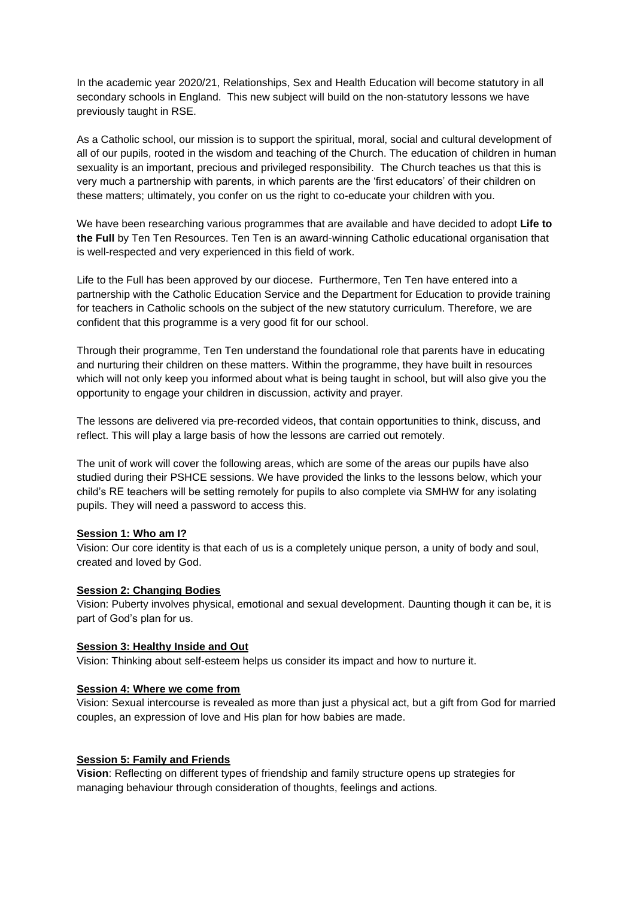In the academic year 2020/21, Relationships, Sex and Health Education will become statutory in all secondary schools in England. This new subject will build on the non-statutory lessons we have previously taught in RSE.

As a Catholic school, our mission is to support the spiritual, moral, social and cultural development of all of our pupils, rooted in the wisdom and teaching of the Church. The education of children in human sexuality is an important, precious and privileged responsibility. The Church teaches us that this is very much a partnership with parents, in which parents are the 'first educators' of their children on these matters; ultimately, you confer on us the right to co-educate your children with you.

We have been researching various programmes that are available and have decided to adopt **Life to the Full** by Ten Ten Resources. Ten Ten is an award-winning Catholic educational organisation that is well-respected and very experienced in this field of work.

Life to the Full has been approved by our diocese. Furthermore, Ten Ten have entered into a partnership with the Catholic Education Service and the Department for Education to provide training for teachers in Catholic schools on the subject of the new statutory curriculum. Therefore, we are confident that this programme is a very good fit for our school.

Through their programme, Ten Ten understand the foundational role that parents have in educating and nurturing their children on these matters. Within the programme, they have built in resources which will not only keep you informed about what is being taught in school, but will also give you the opportunity to engage your children in discussion, activity and prayer.

The lessons are delivered via pre-recorded videos, that contain opportunities to think, discuss, and reflect. This will play a large basis of how the lessons are carried out remotely.

The unit of work will cover the following areas, which are some of the areas our pupils have also studied during their PSHCE sessions. We have provided the links to the lessons below, which your child's RE teachers will be setting remotely for pupils to also complete via SMHW for any isolating pupils. They will need a password to access this.

# **Session 1: Who am I?**

Vision: Our core identity is that each of us is a completely unique person, a unity of body and soul, created and loved by God.

### **Session 2: Changing Bodies**

Vision: Puberty involves physical, emotional and sexual development. Daunting though it can be, it is part of God's plan for us.

### **Session 3: Healthy Inside and Out**

Vision: Thinking about self-esteem helps us consider its impact and how to nurture it.

## **Session 4: Where we come from**

Vision: Sexual intercourse is revealed as more than just a physical act, but a gift from God for married couples, an expression of love and His plan for how babies are made.

## **Session 5: Family and Friends**

**Vision**: Reflecting on different types of friendship and family structure opens up strategies for managing behaviour through consideration of thoughts, feelings and actions.